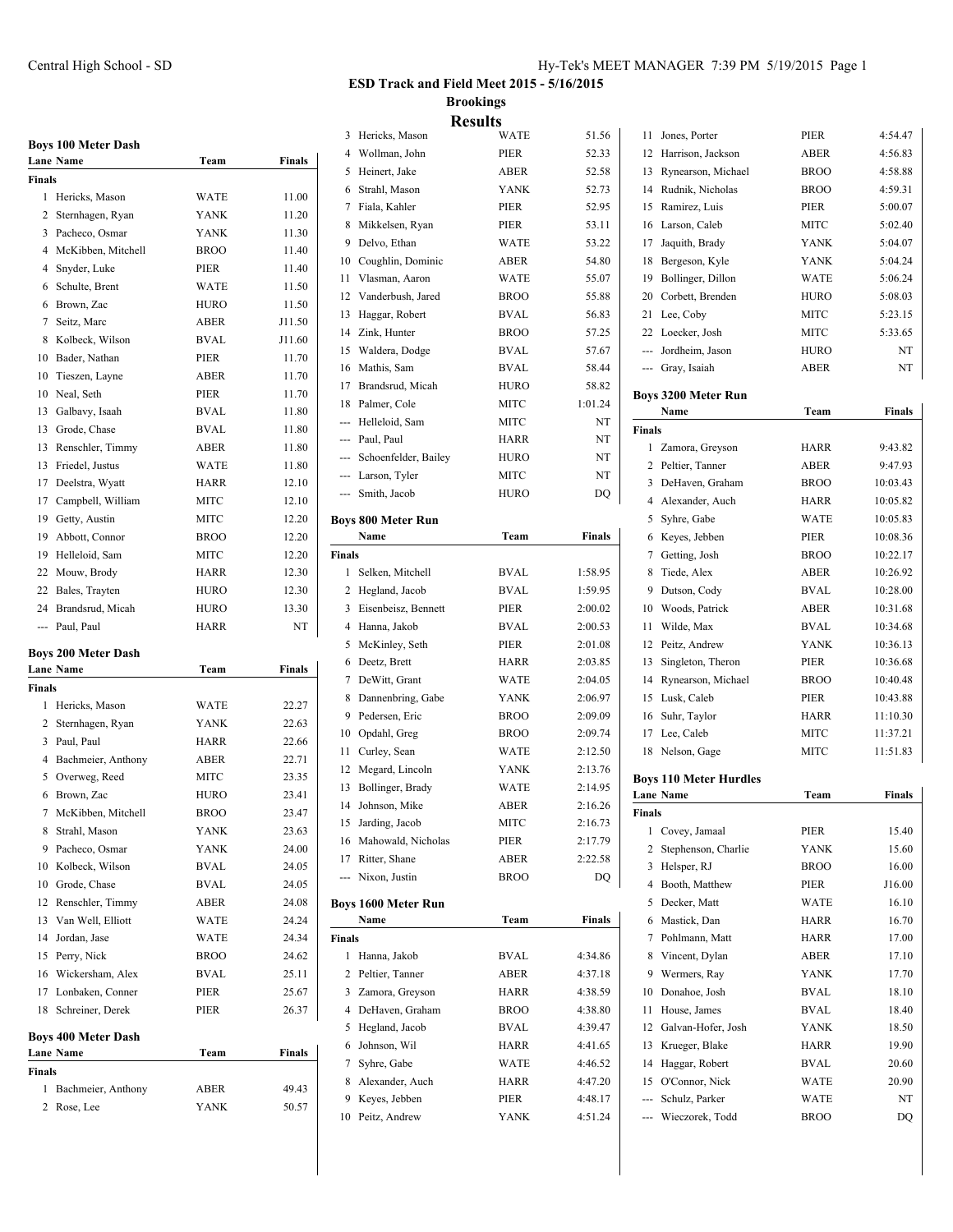|                | <b>Boys 100 Meter Dash</b> |             |               |
|----------------|----------------------------|-------------|---------------|
|                | <b>Lane Name</b>           | Team        | <b>Finals</b> |
| <b>Finals</b>  |                            |             |               |
| 1              | Hericks, Mason             | <b>WATE</b> | 11.00         |
| $\overline{c}$ | Sternhagen, Ryan           | <b>YANK</b> | 11.20         |
| 3              | Pacheco, Osmar             | <b>YANK</b> | 11.30         |
| 4              | McKibben, Mitchell         | <b>BROO</b> | 11.40         |
| 4              | Snyder, Luke               | PIER        | 11.40         |
| 6              | Schulte, Brent             | <b>WATE</b> | 11.50         |
| 6              | Brown, Zac                 | <b>HURO</b> | 11.50         |
| $\overline{7}$ | Seitz, Marc                | ABER        | J11.50        |
| 8              | Kolbeck, Wilson            | BVAL        | J11.60        |
| 10             | Bader, Nathan              | PIER        | 11.70         |
| 10             | Tieszen, Layne             | ABER        | 11.70         |
| 10             | Neal, Seth                 | PIER        | 11.70         |
| 13             | Galbavy, Isaah             | <b>BVAL</b> | 11.80         |
| $13 -$         | Grode, Chase               | BVAL        | 11.80         |
| 13             | Renschler, Timmy           | <b>ABER</b> | 11.80         |
| 13             | Friedel, Justus            | <b>WATE</b> | 11.80         |
| 17             | Deelstra, Wyatt            | <b>HARR</b> | 12.10         |
| 17             | Campbell, William          | <b>MITC</b> | 12.10         |
| 19             | Getty, Austin              | <b>MITC</b> | 12.20         |
| 19             | Abbott, Connor             | <b>BROO</b> | 12.20         |
| 19             | Helleloid, Sam             | <b>MITC</b> | 12.20         |
| 22             | Mouw, Brody                | <b>HARR</b> | 12.30         |
| 22             | Bales, Trayten             | <b>HURO</b> | 12.30         |
| 24             | Brandsrud, Micah           | <b>HURO</b> | 13.30         |

## **Boys 200 Meter Dash**

|               | <b>Lane Name</b>   | Team        | Finals |
|---------------|--------------------|-------------|--------|
| <b>Finals</b> |                    |             |        |
| 1             | Hericks, Mason     | <b>WATE</b> | 22.27  |
| 2             | Sternhagen, Ryan   | <b>YANK</b> | 22.63  |
| 3             | Paul, Paul         | <b>HARR</b> | 22.66  |
| 4             | Bachmeier, Anthony | <b>ABER</b> | 22.71  |
| 5             | Overweg, Reed      | <b>MITC</b> | 23.35  |
| 6             | Brown, Zac         | <b>HURO</b> | 23.41  |
| 7             | McKibben, Mitchell | <b>BROO</b> | 23.47  |
| 8             | Strahl, Mason      | <b>YANK</b> | 23.63  |
| 9             | Pacheco, Osmar     | <b>YANK</b> | 24.00  |
| 10            | Kolbeck, Wilson    | <b>BVAL</b> | 24.05  |
| 10            | Grode, Chase       | BVAL        | 24.05  |
| 12            | Renschler, Timmy   | <b>ABER</b> | 24.08  |
| 13            | Van Well, Elliott  | <b>WATE</b> | 24.24  |
| 14            | Jordan, Jase       | <b>WATE</b> | 24.34  |
| 15            | Perry, Nick        | <b>BROO</b> | 24.62  |
| 16            | Wickersham, Alex   | BVAL        | 25.11  |
| 17            | Lonbaken, Conner   | <b>PIER</b> | 25.67  |
| 18            | Schreiner, Derek   | PIER        | 26.37  |
|               |                    |             |        |

--- Paul, Paul **HARR** NT

## **Boys 400 Meter Dash**

| <b>Lane Name</b>     | Team        | <b>Finals</b> |
|----------------------|-------------|---------------|
| <b>Finals</b>        |             |               |
| 1 Bachmeier, Anthony | <b>ABER</b> | 49.43         |
| 2 Rose, Lee          | <b>YANK</b> | 50.57         |
|                      |             |               |

## **ESD Track and Field Meet 2015 - 5/16/2015 Brookings Results**

| 3             | Hericks, Mason             | WATE        | 51.56   |
|---------------|----------------------------|-------------|---------|
| 4             | Wollman, John              | PIER        | 52.33   |
| 5             | Heinert, Jake              | ABER        | 52.58   |
| 6             | Strahl, Mason              | YANK        | 52.73   |
| 7             | Fiala, Kahler              | PIER        | 52.95   |
| 8             | Mikkelsen, Ryan            | PIER        | 53.11   |
| 9             | Delvo, Ethan               | <b>WATE</b> | 53.22   |
| 10            | Coughlin, Dominic          | ABER        | 54.80   |
| 11            | Vlasman, Aaron             | <b>WATE</b> | 55.07   |
| 12            | Vanderbush, Jared          | <b>BROO</b> | 55.88   |
| 13            | Haggar, Robert             | <b>BVAL</b> | 56.83   |
| 14            | Zink, Hunter               | <b>BROO</b> | 57.25   |
| 15            | Waldera, Dodge             | <b>BVAL</b> | 57.67   |
| 16            | Mathis, Sam                | <b>BVAL</b> | 58.44   |
|               | 17 Brandsrud, Micah        | <b>HURO</b> | 58.82   |
| 18            | Palmer, Cole               | MITC        | 1:01.24 |
|               | --- Helleloid, Sam         | MITC        | NT      |
|               | --- Paul, Paul             | HARR        | NT      |
|               | --- Schoenfelder, Bailey   | <b>HURO</b> | NT      |
|               |                            |             |         |
|               | --- Larson, Tyler          | MITC        | NT      |
|               | --- Smith, Jacob           | <b>HURO</b> | DQ      |
|               | <b>Boys 800 Meter Run</b>  |             |         |
|               | Name                       | Team        | Finals  |
| <b>Finals</b> |                            |             |         |
| 1             | Selken, Mitchell           | <b>BVAL</b> | 1:58.95 |
| 2             | Hegland, Jacob             | <b>BVAL</b> | 1:59.95 |
| 3             | Eisenbeisz, Bennett        | PIER        | 2:00.02 |
| 4             | Hanna, Jakob               | <b>BVAL</b> | 2:00.53 |
| 5             | McKinley, Seth             | PIER        | 2:01.08 |
| 6             | Deetz, Brett               | HARR        | 2:03.85 |
| 7             | DeWitt, Grant              | WATE        | 2:04.05 |
| 8             | Dannenbring, Gabe          | <b>YANK</b> | 2:06.97 |
| 9             | Pedersen, Eric             | <b>BROO</b> | 2:09.09 |
| 10            | Opdahl, Greg               | <b>BROO</b> | 2:09.74 |
| 11            | Curley, Sean               | <b>WATE</b> | 2:12.50 |
| 12            | Megard, Lincoln            | YANK        | 2:13.76 |
| 13            | Bollinger, Brady           | <b>WATE</b> | 2:14.95 |
| 14            | Johnson, Mike              | <b>ABER</b> | 2:16.26 |
|               | 15 Jarding, Jacob          | MITC        | 2:16.73 |
|               | 16 Mahowald, Nicholas      | PIER        | 2:17.79 |
|               | 17 Ritter, Shane           |             | 2:22.58 |
|               |                            | ABER        |         |
|               | --- Nixon, Justin          | <b>BROO</b> | DO      |
|               | <b>Boys 1600 Meter Run</b> |             |         |
|               | Name                       | Team        | Finals  |
| <b>Finals</b> |                            |             |         |
| 1             | Hanna, Jakob               | BVAL        | 4:34.86 |
| 2             | Peltier, Tanner            | ABER        | 4:37.18 |
| 3             | Zamora, Greyson            | HARR        | 4:38.59 |
| 4             | DeHaven, Graham            | <b>BROO</b> | 4:38.80 |
| 5             | Hegland, Jacob             | <b>BVAL</b> | 4:39.47 |
| 6             | Johnson, Wil               | HARR        | 4:41.65 |
| 7             | Syhre, Gabe                | WATE        | 4:46.52 |
| 8             | Alexander, Auch            | <b>HARR</b> | 4:47.20 |
| 9             | Keyes, Jebben              | PIER        | 4:48.17 |
|               | 10 Peitz, Andrew           | YANK        | 4:51.24 |
|               |                            |             |         |

| 11     | Jones, Porter                    | PIER        | 4:54.47        |
|--------|----------------------------------|-------------|----------------|
| 12     | Harrison, Jackson                | ABER        | 4:56.83        |
| 13     | Rynearson, Michael               | <b>BROO</b> | 4:58.88        |
| 14     | Rudnik, Nicholas                 | <b>BROO</b> | 4:59.31        |
| 15     | Ramirez, Luis                    | PIER        | 5:00.07        |
| 16     | Larson, Caleb                    | <b>MITC</b> | 5:02.40        |
| 17     | Jaquith, Brady                   | <b>YANK</b> | 5:04.07        |
| 18     | Bergeson, Kyle                   | <b>YANK</b> | 5:04.24        |
| 19     | Bollinger, Dillon                | WATE        | 5:06.24        |
| 20     | Corbett, Brenden                 | <b>HURO</b> | 5:08.03        |
|        | 21 Lee, Coby                     | MITC        | 5:23.15        |
| 22     | Loecker, Josh                    | MITC        | 5:33.65        |
|        | --- Jordheim, Jason              | HURO        | NT             |
|        | --- Gray, Isaiah                 | ABER        | NT             |
|        |                                  |             |                |
|        | Boys 3200 Meter Run              |             |                |
|        | Name                             | Team        | Finals         |
| Finals |                                  |             |                |
| 1      | Zamora, Greyson                  | HARR        | 9:43.82        |
|        | 2 Peltier, Tanner                | <b>ABER</b> | 9:47.93        |
| 3      | DeHaven, Graham                  | <b>BROO</b> | 10:03.43       |
| 4      | Alexander, Auch                  | HARR        | 10:05.82       |
| 5      | Syhre, Gabe                      | WATE        | 10:05.83       |
| 6      | Keyes, Jebben                    | PIER        | 10:08.36       |
| 7      | Getting, Josh                    | <b>BROO</b> | 10:22.17       |
| 8      | Tiede, Alex                      | ABER        | 10:26.92       |
| 9      | Dutson, Cody                     | <b>BVAL</b> | 10:28.00       |
| 10     | Woods, Patrick                   | ABER        | 10:31.68       |
| 11     | Wilde, Max                       | <b>BVAL</b> | 10:34.68       |
| 12     | Peitz, Andrew                    | <b>YANK</b> | 10:36.13       |
| 13     | Singleton, Theron                | PIER        | 10:36.68       |
| 14     | Rynearson, Michael               | <b>BROO</b> | 10:40.48       |
| 15     | Lusk, Caleb                      | PIER        | 10:43.88       |
| 16     | Suhr, Taylor                     | HARR        | 11:10.30       |
| 17     | Lee, Caleb                       | <b>MITC</b> | 11:37.21       |
| 18     | Nelson, Gage                     | MITC        | 11:51.83       |
|        | <b>Boys 110 Meter Hurdles</b>    |             |                |
|        | <b>Lane Name</b>                 | Team        | <b>Finals</b>  |
| Finals |                                  |             |                |
|        | 1 Covey, Jamaal                  | PIER        | 15.40          |
| 2      | Stephenson, Charlie              | YANK        | 15.60          |
| 3      | Helsper, RJ                      | <b>BROO</b> | 16.00          |
| 4      | Booth, Matthew                   | PIER        | J16.00         |
| 5      | Decker, Matt                     | WATE        | 16.10          |
| 6      | Mastick, Dan                     | HARR        | 16.70          |
| 7      | Pohlmann, Matt                   | HARR        | 17.00          |
| 8      | Vincent, Dylan                   | ABER        | 17.10          |
| 9      | Wermers, Ray                     | YANK        | 17.70          |
| 10     | Donahoe, Josh                    | <b>BVAL</b> | 18.10          |
| 11     | House, James                     | BVAL        | 18.40          |
| 12     | Galvan-Hofer, Josh               | YANK        |                |
| 13     |                                  | HARR        | 18.50          |
| 14     | Krueger, Blake<br>Haggar, Robert | BVAL        | 19.90          |
| 15     | O'Connor, Nick                   | WATE        | 20.60<br>20.90 |
|        | Schulz, Parker                   | WATE        | NT             |
|        |                                  |             |                |

--- Wieczorek, Todd BROO DQ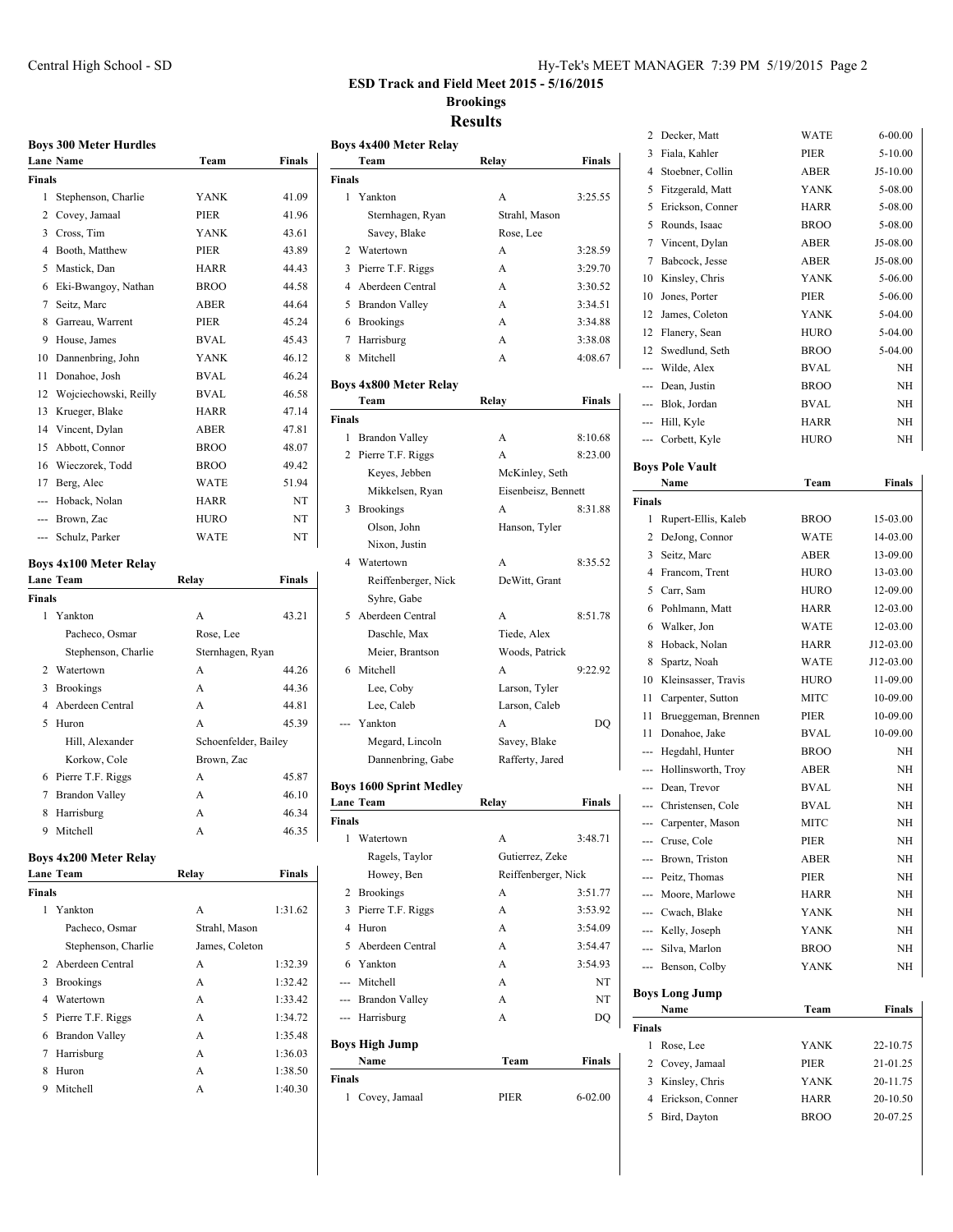**ESD Track and Field Meet 2015 - 5/16/2015 Brookings**

**Team Relay Finals**

**Results**

**Boys 4x400 Meter Relay**

**Finals**

|                | Boys 300 Meter Hurdles        |                      |         |
|----------------|-------------------------------|----------------------|---------|
|                | Lane Name                     | Team                 | Finals  |
| Finals         |                               |                      |         |
| 1              | Stephenson, Charlie           | <b>YANK</b>          | 41.09   |
|                | 2 Covey, Jamaal               | PIER                 | 41.96   |
|                | 3 Cross, Tim                  | <b>YANK</b>          | 43.61   |
|                | 4 Booth, Matthew              | PIER                 | 43.89   |
| 5              | Mastick, Dan                  | HARR                 | 44.43   |
| 6              | Eki-Bwangoy, Nathan           | <b>BROO</b>          | 44.58   |
| 7              | Seitz, Marc                   | <b>ABER</b>          | 44.64   |
| 8              | Garreau, Warrent              | PIER                 | 45.24   |
| 9              | House, James                  | <b>BVAL</b>          | 45.43   |
| 10             | Dannenbring, John             | YANK                 | 46.12   |
| 11             | Donahoe, Josh                 | <b>BVAL</b>          | 46.24   |
| 12             | Wojciechowski, Reilly         | <b>BVAL</b>          | 46.58   |
| 13             | Krueger, Blake                | HARR                 | 47.14   |
|                | 14 Vincent, Dylan             | ABER                 | 47.81   |
| 15             | Abbott, Connor                | <b>BROO</b>          | 48.07   |
| 16             | Wieczorek, Todd               | <b>BROO</b>          | 49.42   |
| 17             | Berg, Alec                    | WATE                 | 51.94   |
|                | --- Hoback, Nolan             | HARR                 | NT      |
|                | --- Brown, Zac                | <b>HURO</b>          | NT      |
| ---            | Schulz, Parker                | WATE                 | NT      |
|                |                               |                      |         |
|                | Boys 4x100 Meter Relay        |                      |         |
|                | Lane Team                     | Relay                | Finals  |
| Finals         |                               |                      |         |
| 1              | Yankton                       | A                    | 43.21   |
|                | Pacheco, Osmar                | Rose, Lee            |         |
|                | Stephenson, Charlie           | Sternhagen, Ryan     |         |
|                | 2 Watertown                   | A                    | 44.26   |
| 3              | <b>Brookings</b>              | A                    | 44.36   |
|                | 4 Aberdeen Central            | A                    | 44.81   |
| 5              | Huron                         | A                    | 45.39   |
|                | Hill, Alexander               | Schoenfelder, Bailey |         |
|                | Korkow, Cole                  | Brown, Zac           |         |
|                | 6 Pierre T.F. Riggs           | A                    | 45.87   |
|                | 7 Brandon Valley              | A                    | 46.10   |
| 8              | Harrisburg                    | A                    | 46.34   |
| 9              | Mitchell                      | A                    | 46.35   |
|                | <b>Boys 4x200 Meter Relay</b> |                      |         |
|                | <b>Lane Team</b>              | Relay                | Finals  |
| Finals         |                               |                      |         |
| 1              | Yankton                       | A                    | 1:31.62 |
|                | Pacheco, Osmar                | Strahl, Mason        |         |
|                | Stephenson, Charlie           | James, Coleton       |         |
| 2              | Aberdeen Central              | A                    | 1:32.39 |
| 3              | <b>Brookings</b>              | A                    | 1:32.42 |
| $\overline{4}$ | Watertown                     | A                    | 1:33.42 |
| 5              | Pierre T.F. Riggs             | A                    | 1:34.72 |
| 6              | <b>Brandon Valley</b>         | A                    | 1:35.48 |
| 7              | Harrisburg                    | A                    | 1:36.03 |
| 8              | Huron                         | A                    | 1:38.50 |

9 Mitchell A 1:40.30

| 1                       | Yankton                                     | А                   | 3:25.55       |
|-------------------------|---------------------------------------------|---------------------|---------------|
|                         | Sternhagen, Ryan                            | Strahl, Mason       |               |
|                         | Savey, Blake                                | Rose, Lee           |               |
| 2                       | Watertown                                   | A                   | 3:28.59       |
| 3                       | Pierre T.F. Riggs                           | A                   | 3:29.70       |
| $\overline{4}$          | Aberdeen Central                            | A                   | 3:30.52       |
| 5                       | <b>Brandon Valley</b>                       | A                   | 3:34.51       |
|                         | 6 Brookings                                 | A                   | 3:34.88       |
| 7                       | Harrisburg                                  | A                   | 3:38.08       |
| 8                       | Mitchell                                    | A                   | 4:08.67       |
|                         |                                             |                     |               |
|                         | Boys 4x800 Meter Relay<br>Team              | Relay               | <b>Finals</b> |
| Finals                  |                                             |                     |               |
| 1                       | <b>Brandon Valley</b>                       | А                   | 8:10.68       |
| 2                       | Pierre T.F. Riggs                           | A                   | 8:23.00       |
|                         | Keyes, Jebben                               | McKinley, Seth      |               |
|                         | Mikkelsen, Ryan                             | Eisenbeisz, Bennett |               |
| 3                       | <b>Brookings</b>                            | A                   | 8:31.88       |
|                         | Olson, John                                 | Hanson, Tyler       |               |
|                         | Nixon, Justin                               |                     |               |
| 4                       | Watertown                                   | A                   | 8:35.52       |
|                         | Reiffenberger, Nick                         | DeWitt, Grant       |               |
|                         | Syhre, Gabe                                 |                     |               |
| 5                       | Aberdeen Central                            | A                   | 8:51.78       |
|                         | Daschle, Max                                | Tiede, Alex         |               |
|                         | Meier, Brantson                             | Woods, Patrick      |               |
| 6                       | Mitchell                                    | A                   | 9:22.92       |
|                         | Lee, Coby                                   | Larson, Tyler       |               |
|                         | Lee, Caleb                                  | Larson, Caleb       |               |
|                         | Yankton                                     | A                   | DQ            |
|                         | Megard, Lincoln                             | Savey, Blake        |               |
|                         | Dannenbring, Gabe                           | Rafferty, Jared     |               |
|                         |                                             |                     |               |
|                         | <b>Boys 1600 Sprint Medley</b><br>Lane Team | Relay               | Finals        |
| <b>Finals</b>           |                                             |                     |               |
| 1                       | Watertown                                   | A                   | 3:48.71       |
|                         | Ragels, Taylor                              | Gutierrez, Zeke     |               |
|                         | Howey, Ben                                  | Reiffenberger, Nick |               |
| $\overline{\mathbf{c}}$ | <b>Brookings</b>                            | A                   | 3:51.77       |
| 3                       | Pierre T.F. Riggs                           | A                   | 3:53.92       |
| 4                       | Huron                                       | A                   | 3:54.09       |
| 5                       | Aberdeen Central                            | A                   | 3:54.47       |
|                         | 6 Yankton                                   | A                   | 3:54.93       |
|                         | --- Mitchell                                | A                   | NT            |
|                         | --- Brandon Valley                          | A                   | NT            |
|                         | --- Harrisburg                              | A                   | DQ            |
|                         |                                             |                     |               |
|                         | Boys High Jump<br>Name                      | Team                | Finals        |
| <b>Finals</b>           |                                             |                     |               |
|                         | 1 Covey, Jamaal                             | PIER                | $6 - 02.00$   |
|                         |                                             |                     |               |

| $\overline{\mathbf{c}}$ | Decker, Matt                  | WATE        | $6 - 00.00$ |
|-------------------------|-------------------------------|-------------|-------------|
| 3                       | Fiala, Kahler                 | PIER        | $5 - 10.00$ |
| 4                       | Stoebner, Collin              | ABER        | J5-10.00    |
| 5                       | Fitzgerald, Matt              | <b>YANK</b> | 5-08.00     |
| 5                       | Erickson, Conner              | HARR        | 5-08.00     |
| 5                       | Rounds, Isaac                 | <b>BROO</b> | 5-08.00     |
| 7                       | Vincent, Dylan                | ABER        | J5-08.00    |
| 7                       | Babcock, Jesse                | ABER        | J5-08.00    |
| 10                      | Kinsley, Chris                | <b>YANK</b> | 5-06.00     |
| 10                      | Jones, Porter                 | PIER        | 5-06.00     |
| 12                      | James, Coleton                | <b>YANK</b> | 5-04.00     |
| 12                      | Flanery, Sean                 | HURO        | 5-04.00     |
| 12                      | Swedlund, Seth                | <b>BROO</b> | 5-04.00     |
| ---                     | Wilde, Alex                   | <b>BVAL</b> | NΗ          |
|                         | --- Dean, Justin              | <b>BROO</b> | NH          |
| $---$                   | Blok, Jordan                  | <b>BVAL</b> | NΗ          |
|                         | --- Hill, Kyle                | <b>HARR</b> | NΗ          |
|                         | --- Corbett, Kyle             | <b>HURO</b> | NH          |
|                         |                               |             |             |
|                         | Boys Pole Vault               |             |             |
|                         | Name                          | Team        | Finals      |
| <b>Finals</b>           |                               |             |             |
| 1                       | Rupert-Ellis, Kaleb           | <b>BROO</b> | 15-03.00    |
| 2                       | DeJong, Connor                | <b>WATE</b> | 14-03.00    |
| 3                       | Seitz, Marc                   | ABER        | 13-09.00    |
| 4                       | Francom, Trent                | <b>HURO</b> | 13-03.00    |
| 5                       | Carr, Sam                     | HURO        | 12-09.00    |
| 6                       | Pohlmann, Matt                | HARR        | 12-03.00    |
| 6                       | Walker, Jon                   | <b>WATE</b> | 12-03.00    |
| 8                       | Hoback, Nolan                 | HARR        | J12-03.00   |
| 8                       | Spartz, Noah                  | <b>WATE</b> | J12-03.00   |
| 10                      | Kleinsasser, Travis           | <b>HURO</b> | 11-09.00    |
| 11                      | Carpenter, Sutton             | MITC        | 10-09.00    |
| 11                      | Brueggeman, Brennen           | PIER        | 10-09.00    |
| 11                      | Donahoe, Jake                 | <b>BVAL</b> | 10-09.00    |
| ---                     | Hegdahl, Hunter               | <b>BROO</b> | NΗ          |
| ---                     | Hollinsworth, Troy            | ABER        | NΗ          |
|                         | --- Dean, Trevor              | <b>BVAL</b> | <b>NH</b>   |
|                         | --- Christensen, Cole         | <b>BVAL</b> | NH          |
| ---                     | Carpenter, Mason              | <b>MITC</b> | NΗ          |
|                         | --- Cruse, Cole               | PIER        | NΗ          |
|                         | --- Brown, Triston            | ABER        | NΗ          |
|                         | --- Peitz, Thomas             | PIER        | NΗ          |
|                         | --- Moore, Marlowe            | HARR        | NΗ          |
|                         | --- Cwach, Blake              | YANK        | NH          |
|                         | --- Kelly, Joseph             | <b>YANK</b> | NΗ          |
|                         | --- Silva, Marlon             | <b>BROO</b> | NΗ          |
|                         | --- Benson, Colby             | YANK        | NΗ          |
|                         |                               |             |             |
|                         | <b>Boys Long Jump</b><br>Name | Team        | Finals      |
| Finals                  |                               |             |             |
| 1                       | Rose, Lee                     | YANK        | 22-10.75    |
| $\overline{c}$          | Covey, Jamaal                 | PIER        | 21-01.25    |
| 3                       | Kinsley, Chris                | YANK        | 20-11.75    |
| 4                       | Erickson, Conner              | HARR        | 20-10.50    |
|                         |                               |             |             |

5 Bird, Dayton BROO 20-07.25